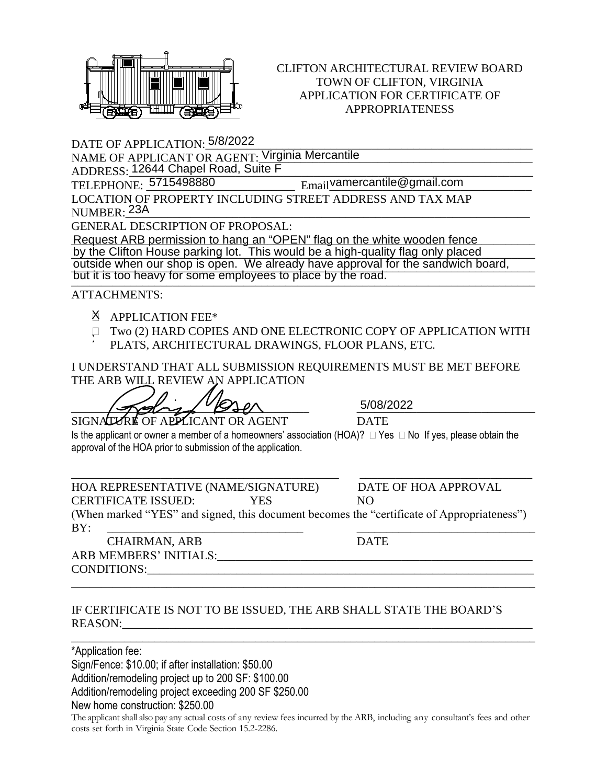

## CLIFTON ARCHITECTURAL REVIEW BOARD TOWN OF CLIFTON, VIRGINIA APPLICATION FOR CERTIFICATE OF APPROPRIATENESS

DATE OF APPLICATION:\_\_\_\_\_\_\_\_\_\_\_\_\_\_\_\_\_\_\_\_\_\_\_\_\_\_\_\_\_\_\_\_\_\_\_\_\_\_\_\_\_\_\_\_\_\_\_\_\_\_\_\_\_\_\_ 5/8/2022

NAME OF APPLICANT OR AGENT: Virginia Mercantile

ADDRESS: 12644 Chapel Road, Suite F TELEPHONE: 5715498880

Email<sup>vamercantile@gmail.com</sup>

LOCATION OF PROPERTY INCLUDING STREET ADDRESS AND TAX MAP NUMBER:\_\_\_\_\_\_\_\_\_\_\_\_\_\_\_\_\_\_\_\_\_\_\_\_\_\_\_\_\_\_\_\_\_\_\_\_\_\_\_\_\_\_\_\_\_\_\_\_\_\_\_\_\_\_\_\_\_\_\_\_\_\_\_\_\_\_\_\_ 23A

GENERAL DESCRIPTION OF PROPOSAL:

Request ARB permission to hang an "OPEN" flag on the white wooden fence Request ARB permission to hang an "OPEN" flag on the white wooden fence by the Clifton House parking lot. This would be a high-quality flag only placed

by the Clifton House parking lot. This would be a high-quality flag only placed outside when our shop is open. We already have approval for the sandwich board, but it is too heavy for some employees to place by the road.

ATTACHMENTS:

- APPLICATION FEE\* X
- Two (2) HARD COPIES AND ONE ELECTRONIC COPY OF APPLICATION WITH PLATS, ARCHITECTURAL DRAWINGS, FLOOR PLANS, ETC.

I UNDERSTAND THAT ALL SUBMISSION REQUIREMENTS MUST BE MET BEFORE THE ARB WILL REVIEW AN APPLICATION

 $\frac{5/08/2022}{\sqrt{2}}$ SIGNATURE OF APPLICANT OR AGENT DATE

5/08/2022

Is the applicant or owner a member of a homeowners' association (HOA)?  $\Box$  Yes  $\Box$  No If yes, please obtain the approval of the HOA prior to submission of the application.

HOA REPRESENTATIVE (NAME/SIGNATURE) DATE OF HOA APPROVAL CERTIFICATE ISSUED: YES NO

(When marked "YES" and signed, this document becomes the "certificate of Appropriateness") BY: \_\_\_\_\_\_\_\_\_\_\_\_\_\_\_\_\_\_\_\_\_\_\_\_\_\_\_\_\_\_\_\_\_ \_\_\_\_\_\_\_\_\_\_\_\_\_\_\_\_\_\_\_\_\_\_\_\_\_\_\_\_\_\_

\_\_\_\_\_\_\_\_\_\_\_\_\_\_\_\_\_\_\_\_\_\_\_\_\_\_\_\_\_\_\_\_\_\_\_\_\_\_\_\_\_\_\_\_\_\_\_\_\_\_\_\_\_\_\_\_\_\_\_\_\_\_\_\_\_\_\_\_\_\_\_\_\_\_\_\_\_\_

\_\_\_\_\_\_\_\_\_\_\_\_\_\_\_\_\_\_\_\_\_\_\_\_\_\_\_\_\_\_\_\_\_\_\_\_\_\_\_\_\_\_\_\_\_\_\_\_\_\_\_\_\_\_\_\_\_\_\_\_\_\_\_\_\_\_\_\_\_\_\_\_\_\_\_\_\_\_

\_\_\_\_\_\_\_\_\_\_\_\_\_\_\_\_\_\_\_\_\_\_\_\_\_\_\_\_\_\_\_\_\_\_\_\_\_\_\_\_\_\_\_\_\_ \_\_\_\_\_\_\_\_\_\_\_\_\_\_\_\_\_\_\_\_\_\_\_\_\_\_\_\_\_

CHAIRMAN, ARB DATE ARB MEMBERS' INITIALS: CONDITIONS:

## IF CERTIFICATE IS NOT TO BE ISSUED, THE ARB SHALL STATE THE BOARD'S REASON:

\*Application fee: Sign/Fence: \$10.00; if after installation: \$50.00 Addition/remodeling project up to 200 SF: \$100.00 Addition/remodeling project exceeding 200 SF \$250.00 New home construction: \$250.00

The applicant shall also pay any actual costs of any review fees incurred by the ARB, including any consultant's fees and other costs set forth in Virginia State Code Section 15.2-2286.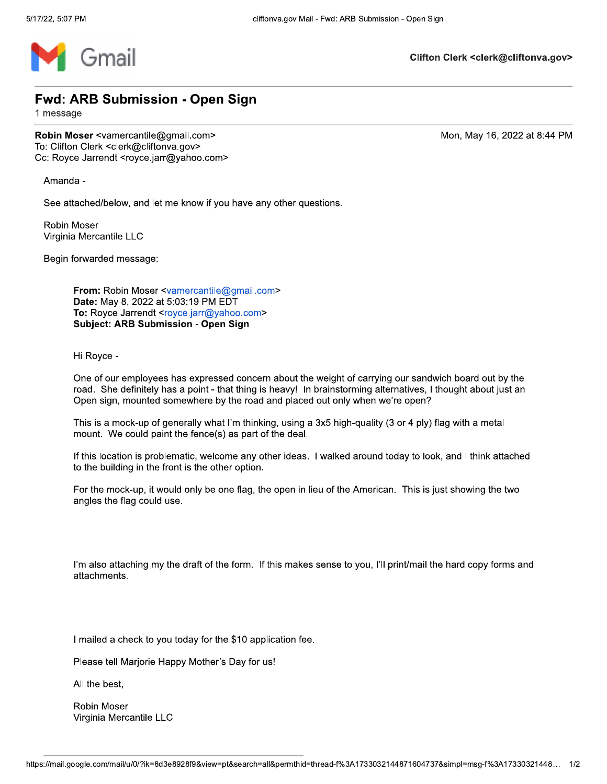

Clifton Clerk <clerk@cliftonva.gov>

Mon, May 16, 2022 at 8:44 PM

## **Fwd: ARB Submission - Open Sign**

1 message

Robin Moser <vamercantile@gmail.com> To: Clifton Clerk <clerk@cliftonva.gov> Cc: Royce Jarrendt <royce.jarr@yahoo.com>

Amanda -

See attached/below, and let me know if you have any other questions.

**Robin Moser** Virginia Mercantile LLC

Begin forwarded message:

From: Robin Moser <vamercantile@gmail.com> Date: May 8, 2022 at 5:03:19 PM EDT To: Royce Jarrendt <royce.jarr@yahoo.com> **Subject: ARB Submission - Open Sign** 

Hi Royce -

One of our employees has expressed concern about the weight of carrying our sandwich board out by the road. She definitely has a point - that thing is heavy! In brainstorming alternatives, I thought about just an Open sign, mounted somewhere by the road and placed out only when we're open?

This is a mock-up of generally what I'm thinking, using a 3x5 high-quality (3 or 4 ply) flag with a metal mount. We could paint the fence(s) as part of the deal.

If this location is problematic, welcome any other ideas. I walked around today to look, and I think attached to the building in the front is the other option.

For the mock-up, it would only be one flag, the open in lieu of the American. This is just showing the two angles the flag could use.

I'm also attaching my the draft of the form. If this makes sense to you, I'll print/mail the hard copy forms and attachments.

I mailed a check to you today for the \$10 application fee.

Please tell Marjorie Happy Mother's Day for us!

All the best.

Robin Moser Virginia Mercantile LLC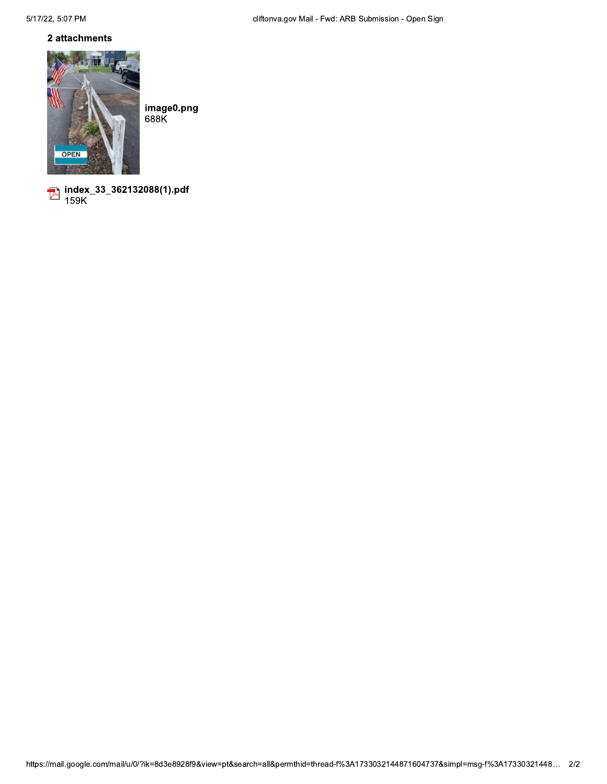## 2 attachments



image0.png<br>688K

index\_33\_362132088(1).pdf<br>159K  $\overline{\phantom{a}}$